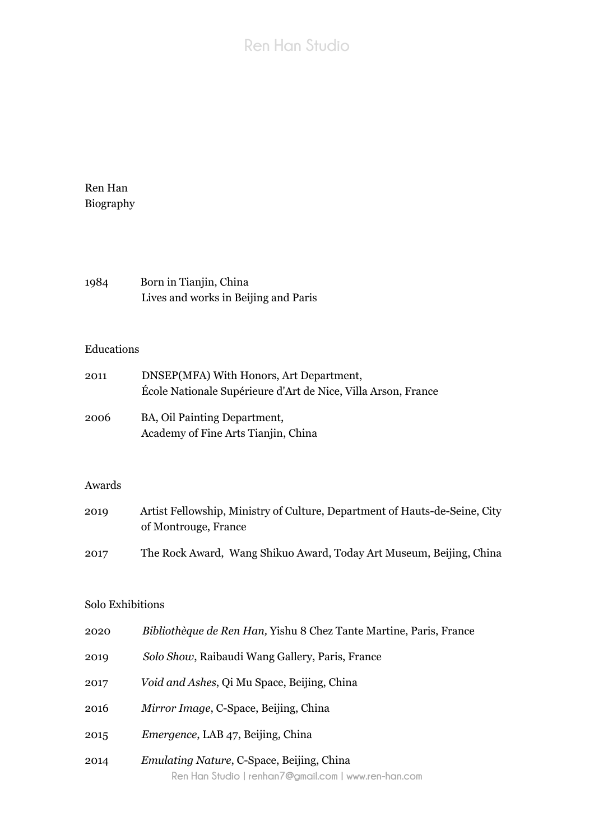# **Ren Han Studio**

Ren Han Biography

| 1984 | Born in Tianjin, China               |
|------|--------------------------------------|
|      | Lives and works in Beijing and Paris |

## Educations

| 2011 | DNSEP(MFA) With Honors, Art Department,                       |
|------|---------------------------------------------------------------|
|      | École Nationale Supérieure d'Art de Nice, Villa Arson, France |
| 2006 | BA, Oil Painting Department,                                  |
|      | Academy of Fine Arts Tianjin, China                           |

### Awards

| 2019 | Artist Fellowship, Ministry of Culture, Department of Hauts-de-Seine, City |
|------|----------------------------------------------------------------------------|
|      | of Montrouge, France                                                       |
| 2017 | The Rock Award, Wang Shikuo Award, Today Art Museum, Beijing, China        |

### Solo Exhibitions

| 2020 | Bibliothèque de Ren Han, Yishu 8 Chez Tante Martine, Paris, France |  |  |  |  |
|------|--------------------------------------------------------------------|--|--|--|--|
|------|--------------------------------------------------------------------|--|--|--|--|

- 2019 *Solo Show*, Raibaudi Wang Gallery, Paris, France
- 2017 *Void and Ashes*, Qi Mu Space, Beijing, China
- 2016 *Mirror Image*, C-Space, Beijing, China
- 2015 *Emergence*, LAB 47, Beijing, China
- **Ren Han Studio | renhan7@gmail.com | www.ren-han.com** 2014 *Emulating Nature*, C-Space, Beijing, China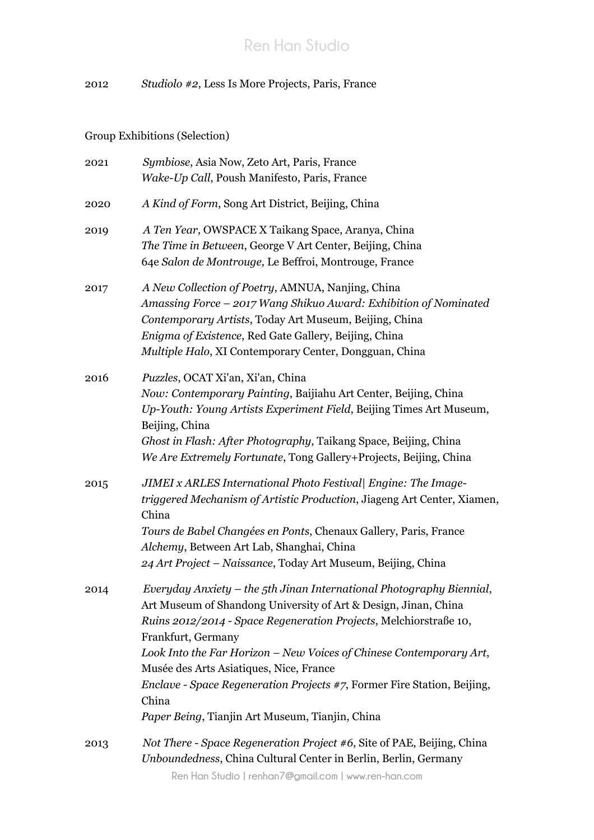2012 *Studiolo #2*, Less Is More Projects, Paris, France

Group Exhibitions (Selection)

| 2021 | Symbiose, Asia Now, Zeto Art, Paris, France<br>Wake-Up Call, Poush Manifesto, Paris, France                                                                                                                                                                                                                                                                                                                                                                                                        |
|------|----------------------------------------------------------------------------------------------------------------------------------------------------------------------------------------------------------------------------------------------------------------------------------------------------------------------------------------------------------------------------------------------------------------------------------------------------------------------------------------------------|
| 2020 | A Kind of Form, Song Art District, Beijing, China                                                                                                                                                                                                                                                                                                                                                                                                                                                  |
| 2019 | A Ten Year, OWSPACE X Taikang Space, Aranya, China<br>The Time in Between, George V Art Center, Beijing, China<br>64e Salon de Montrouge, Le Beffroi, Montrouge, France                                                                                                                                                                                                                                                                                                                            |
| 2017 | A New Collection of Poetry, AMNUA, Nanjing, China<br>Amassing Force - 2017 Wang Shikuo Award: Exhibition of Nominated<br>Contemporary Artists, Today Art Museum, Beijing, China<br>Enigma of Existence, Red Gate Gallery, Beijing, China<br>Multiple Halo, XI Contemporary Center, Dongguan, China                                                                                                                                                                                                 |
| 2016 | Puzzles, OCAT Xi'an, Xi'an, China<br>Now: Contemporary Painting, Baijiahu Art Center, Beijing, China<br>Up-Youth: Young Artists Experiment Field, Beijing Times Art Museum,<br>Beijing, China<br>Ghost in Flash: After Photography, Taikang Space, Beijing, China<br>We Are Extremely Fortunate, Tong Gallery+Projects, Beijing, China                                                                                                                                                             |
| 2015 | JIMEI x ARLES International Photo Festival Engine: The Image-<br>triggered Mechanism of Artistic Production, Jiageng Art Center, Xiamen,<br>China<br>Tours de Babel Changées en Ponts, Chenaux Gallery, Paris, France<br>Alchemy, Between Art Lab, Shanghai, China<br>24 Art Project – Naissance, Today Art Museum, Beijing, China                                                                                                                                                                 |
| 2014 | Everyday Anxiety – the 5th Jinan International Photography Biennial,<br>Art Museum of Shandong University of Art & Design, Jinan, China<br>Ruins 2012/2014 - Space Regeneration Projects, Melchiorstraße 10,<br>Frankfurt, Germany<br>Look Into the Far Horizon – New Voices of Chinese Contemporary Art,<br>Musée des Arts Asiatiques, Nice, France<br><i>Enclave - Space Regeneration Projects #7, Former Fire Station, Beijing,</i><br>China<br>Paper Being, Tianjin Art Museum, Tianjin, China |
| 2013 | Not There - Space Regeneration Project #6, Site of PAE, Beijing, China<br>Unboundedness, China Cultural Center in Berlin, Berlin, Germany<br>Ren Han Studio   renhan7@gmail.com   www.ren-han.com                                                                                                                                                                                                                                                                                                  |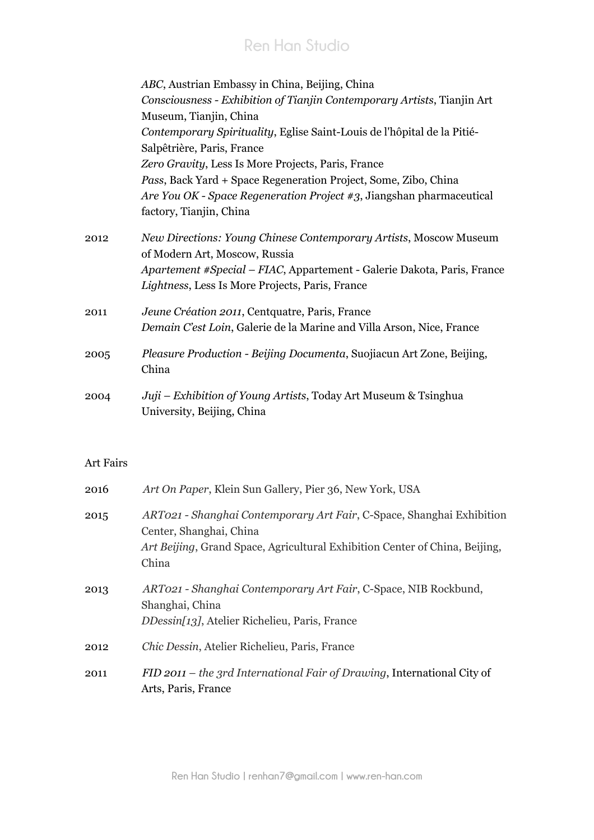# **Ren Han Studio**

|      | ABC, Austrian Embassy in China, Beijing, China<br>Consciousness - Exhibition of Tianjin Contemporary Artists, Tianjin Art<br>Museum, Tianjin, China |
|------|-----------------------------------------------------------------------------------------------------------------------------------------------------|
|      | Contemporary Spirituality, Eglise Saint-Louis de l'hôpital de la Pitié-<br>Salpêtrière, Paris, France                                               |
|      | Zero Gravity, Less Is More Projects, Paris, France                                                                                                  |
|      | Pass, Back Yard + Space Regeneration Project, Some, Zibo, China                                                                                     |
|      | Are You OK - Space Regeneration Project #3, Jiangshan pharmaceutical<br>factory, Tianjin, China                                                     |
| 2012 | New Directions: Young Chinese Contemporary Artists, Moscow Museum<br>of Modern Art, Moscow, Russia                                                  |
|      | <i>Apartement #Special – FIAC</i> , Appartement - Galerie Dakota, Paris, France<br>Lightness, Less Is More Projects, Paris, France                  |
| 2011 | Jeune Création 2011, Centquatre, Paris, France                                                                                                      |
|      | Demain C'est Loin, Galerie de la Marine and Villa Arson, Nice, France                                                                               |
| 2005 | Pleasure Production - Beijing Documenta, Suojiacun Art Zone, Beijing,<br>China                                                                      |
| 2004 | Juji – Exhibition of Young Artists, Today Art Museum & Tsinghua<br>University, Beijing, China                                                       |

#### Art Fairs

| 2016 | Art On Paper, Klein Sun Gallery, Pier 36, New York, USA                                                                                                                                  |
|------|------------------------------------------------------------------------------------------------------------------------------------------------------------------------------------------|
| 2015 | ART021 - Shanghai Contemporary Art Fair, C-Space, Shanghai Exhibition<br>Center, Shanghai, China<br>Art Beijing, Grand Space, Agricultural Exhibition Center of China, Beijing,<br>China |
| 2013 | ART021 - Shanghai Contemporary Art Fair, C-Space, NIB Rockbund,<br>Shanghai, China<br><i>DDessin[13]</i> , Atelier Richelieu, Paris, France                                              |
| 2012 | <i>Chic Dessin, Atelier Richelieu, Paris, France</i>                                                                                                                                     |
| 2011 | $FID$ 2011 – the 3rd International Fair of Drawing, International City of<br>Arts, Paris, France                                                                                         |